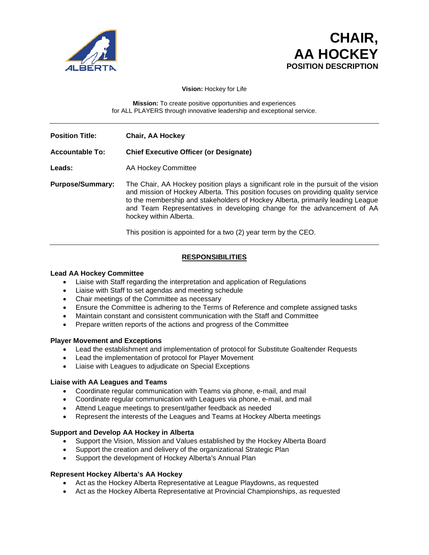



**Vision:** Hockey for Life

**Mission:** To create positive opportunities and experiences for ALL PLAYERS through innovative leadership and exceptional service.

**Position Title: Chair, AA Hockey**

### **Accountable To: Chief Executive Officer (or Designate)**

Leads: AA Hockey Committee

**Purpose/Summary:** The Chair, AA Hockey position plays a significant role in the pursuit of the vision and mission of Hockey Alberta. This position focuses on providing quality service to the membership and stakeholders of Hockey Alberta, primarily leading League and Team Representatives in developing change for the advancement of AA hockey within Alberta.

This position is appointed for a two (2) year term by the CEO.

# **RESPONSIBILITIES**

### **Lead AA Hockey Committee**

- Liaise with Staff regarding the interpretation and application of Regulations
- Liaise with Staff to set agendas and meeting schedule
- Chair meetings of the Committee as necessary
- Ensure the Committee is adhering to the Terms of Reference and complete assigned tasks
- Maintain constant and consistent communication with the Staff and Committee
- Prepare written reports of the actions and progress of the Committee

#### **Player Movement and Exceptions**

- Lead the establishment and implementation of protocol for Substitute Goaltender Requests
- Lead the implementation of protocol for Player Movement
- Liaise with Leagues to adjudicate on Special Exceptions

#### **Liaise with AA Leagues and Teams**

- Coordinate regular communication with Teams via phone, e-mail, and mail
- Coordinate regular communication with Leagues via phone, e-mail, and mail
- Attend League meetings to present/gather feedback as needed
- Represent the interests of the Leagues and Teams at Hockey Alberta meetings

#### **Support and Develop AA Hockey in Alberta**

- Support the Vision, Mission and Values established by the Hockey Alberta Board
- Support the creation and delivery of the organizational Strategic Plan
- Support the development of Hockey Alberta's Annual Plan

#### **Represent Hockey Alberta's AA Hockey**

- Act as the Hockey Alberta Representative at League Playdowns, as requested
- Act as the Hockey Alberta Representative at Provincial Championships, as requested